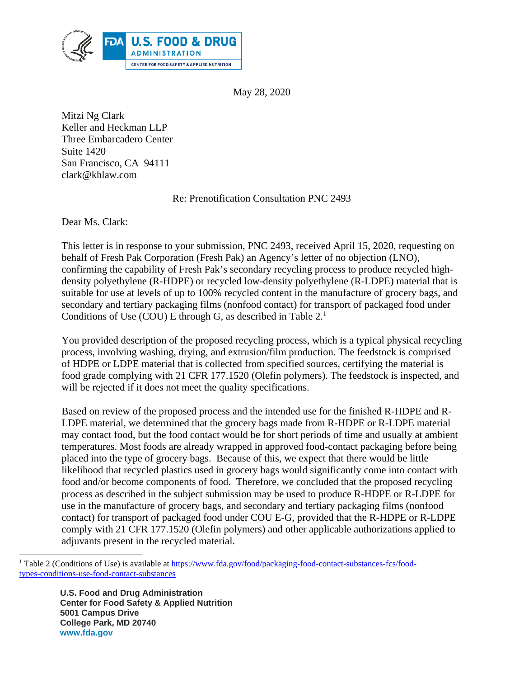

May 28, 2020

Mitzi Ng Clark Keller and Heckman LLP Three Embarcadero Center Suite 1420 San Francisco, CA 94111 clark@khlaw.com

Re: Prenotification Consultation PNC 2493

Dear Ms. Clark:

This letter is in response to your submission, PNC 2493, received April 15, 2020, requesting on behalf of Fresh Pak Corporation (Fresh Pak) an Agency's letter of no objection (LNO), confirming the capability of Fresh Pak's secondary recycling process to produce recycled highdensity polyethylene (R-HDPE) or recycled low-density polyethylene (R-LDPE) material that is suitable for use at levels of up to 100% recycled content in the manufacture of grocery bags, and secondary and tertiary packaging films (nonfood contact) for transport of packaged food under Conditions of Use (COU) E through G, as described in Table 2.<sup>1</sup>

You provided description of the proposed recycling process, which is a typical physical recycling process, involving washing, drying, and extrusion/film production. The feedstock is comprised of HDPE or LDPE material that is collected from specified sources, certifying the material is food grade complying with 21 CFR 177.1520 (Olefin polymers). The feedstock is inspected, and will be rejected if it does not meet the quality specifications.

Based on review of the proposed process and the intended use for the finished R-HDPE and R-LDPE material, we determined that the grocery bags made from R-HDPE or R-LDPE material may contact food, but the food contact would be for short periods of time and usually at ambient temperatures. Most foods are already wrapped in approved food-contact packaging before being placed into the type of grocery bags. Because of this, we expect that there would be little likelihood that recycled plastics used in grocery bags would significantly come into contact with food and/or become components of food. Therefore, we concluded that the proposed recycling process as described in the subject submission may be used to produce R-HDPE or R-LDPE for use in the manufacture of grocery bags, and secondary and tertiary packaging films (nonfood contact) for transport of packaged food under COU E-G, provided that the R-HDPE or R-LDPE comply with 21 CFR 177.1520 (Olefin polymers) and other applicable authorizations applied to adjuvants present in the recycled material.

 **U.S. Food and Drug Administration Center for Food Safety & Applied Nutrition 5001 Campus Drive College Park, MD 20740 www.fda.gov** 

 $\overline{a}$ 

<sup>&</sup>lt;sup>1</sup> Table 2 (Conditions of Use) is available at https://www.fda.gov/food/packaging-food-contact-substances-fcs/foodtypes-conditions-use-food-contact-substances